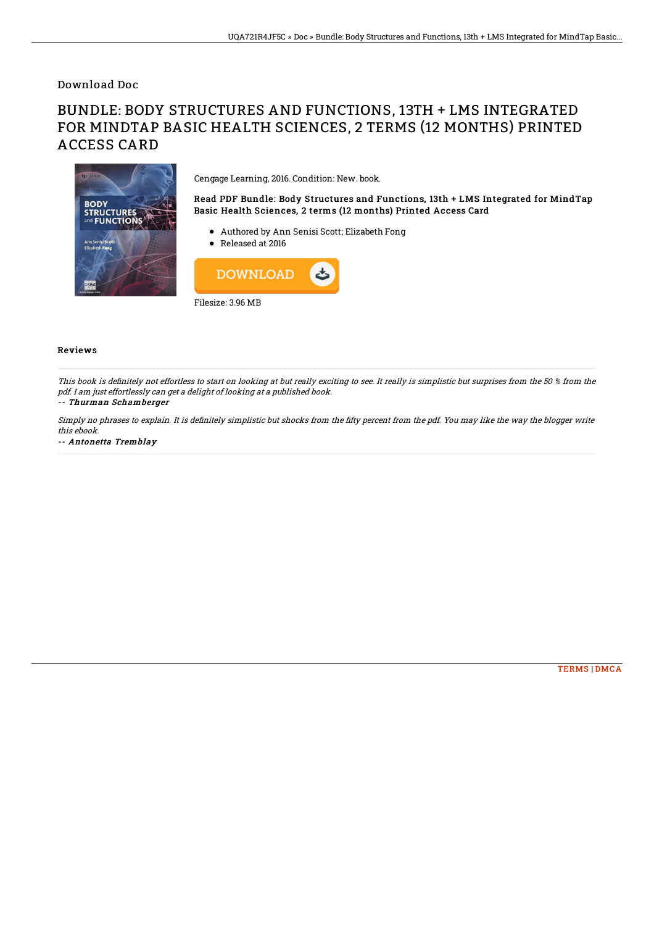## Download Doc

# BUNDLE: BODY STRUCTURES AND FUNCTIONS, 13TH + LMS INTEGRATED FOR MINDTAP BASIC HEALTH SCIENCES, 2 TERMS (12 MONTHS) PRINTED ACCESS CARD



Cengage Learning, 2016. Condition: New. book.

Read PDF Bundle: Body Structures and Functions, 13th + LMS Integrated for MindTap Basic Health Sciences, 2 terms (12 months) Printed Access Card

- Authored by Ann Senisi Scott; Elizabeth Fong
- Released at 2016



#### Reviews

This book is definitely not effortless to start on looking at but really exciting to see. It really is simplistic but surprises from the 50 % from the pdf. I am just effortlessly can get <sup>a</sup> delight of looking at <sup>a</sup> published book.

## -- Thurman Schamberger

Simply no phrases to explain. It is definitely simplistic but shocks from the fifty percent from the pdf. You may like the way the blogger write this ebook.

-- Antonetta Tremblay